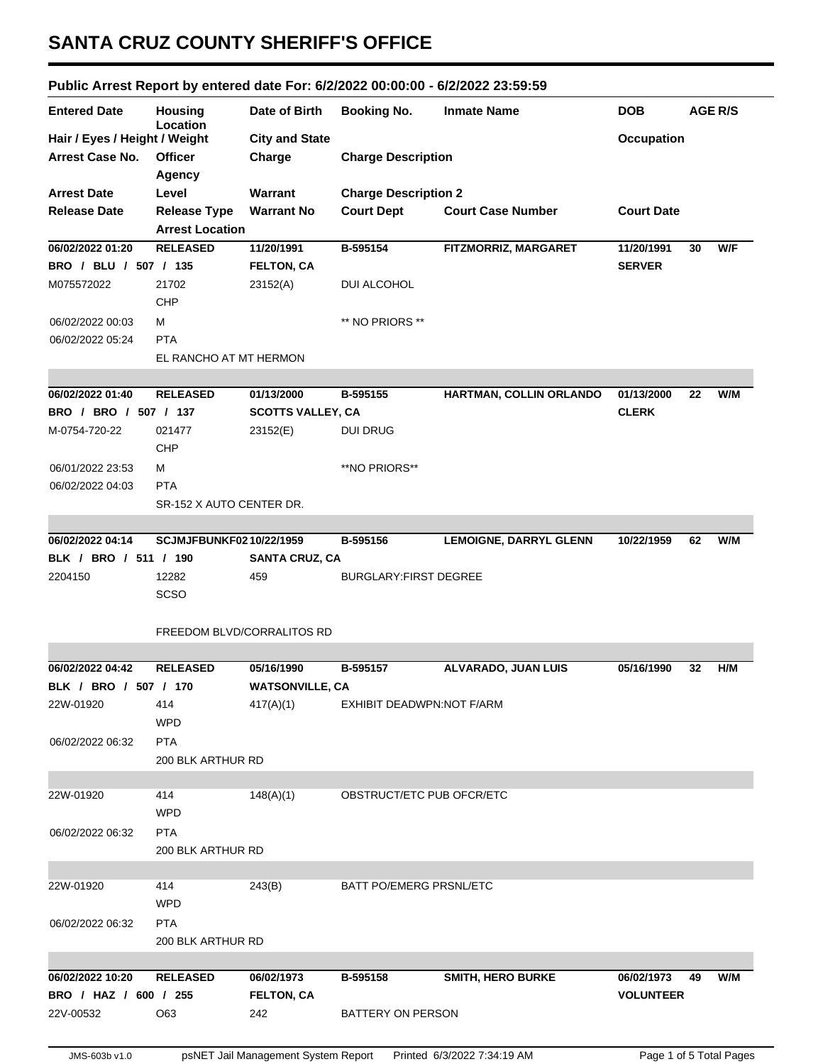## **SANTA CRUZ COUNTY SHERIFF'S OFFICE**

## **Public Arrest Report by entered date For: 6/2/2022 00:00:00 - 6/2/2022 23:59:59**

| <b>Entered Date</b>                              | <b>Housing</b><br>Location                | Date of Birth                       | <b>Booking No.</b>             | <b>Inmate Name</b>            | <b>DOB</b>        | AGE R/S                 |  |
|--------------------------------------------------|-------------------------------------------|-------------------------------------|--------------------------------|-------------------------------|-------------------|-------------------------|--|
| Hair / Eyes / Height / Weight<br>Arrest Case No. | <b>Officer</b>                            | <b>City and State</b><br>Charge     | <b>Charge Description</b>      | <b>Occupation</b>             |                   |                         |  |
|                                                  | Agency                                    |                                     |                                |                               |                   |                         |  |
| <b>Arrest Date</b>                               | Level                                     | Warrant                             | <b>Charge Description 2</b>    |                               |                   |                         |  |
| <b>Release Date</b>                              | <b>Release Type</b>                       | <b>Warrant No</b>                   | <b>Court Dept</b>              | <b>Court Case Number</b>      | <b>Court Date</b> |                         |  |
| 06/02/2022 01:20                                 | <b>Arrest Location</b><br><b>RELEASED</b> | 11/20/1991                          | B-595154                       | FITZMORRIZ, MARGARET          | 11/20/1991        | W/F<br>30               |  |
| BRO / BLU / 507 / 135                            |                                           | <b>FELTON, CA</b>                   |                                |                               | <b>SERVER</b>     |                         |  |
| M075572022                                       | 21702                                     | 23152(A)                            | <b>DUI ALCOHOL</b>             |                               |                   |                         |  |
|                                                  | CHP                                       |                                     |                                |                               |                   |                         |  |
| 06/02/2022 00:03                                 | м                                         |                                     | ** NO PRIORS **                |                               |                   |                         |  |
| 06/02/2022 05:24                                 | <b>PTA</b>                                |                                     |                                |                               |                   |                         |  |
|                                                  | EL RANCHO AT MT HERMON                    |                                     |                                |                               |                   |                         |  |
|                                                  |                                           |                                     |                                |                               |                   |                         |  |
| 06/02/2022 01:40                                 | <b>RELEASED</b>                           | 01/13/2000                          | B-595155                       | HARTMAN, COLLIN ORLANDO       | 01/13/2000        | W/M<br>22               |  |
| BRO / BRO / 507 / 137                            |                                           | <b>SCOTTS VALLEY, CA</b>            |                                |                               | <b>CLERK</b>      |                         |  |
| M-0754-720-22                                    | 021477                                    | 23152(E)                            | <b>DUI DRUG</b>                |                               |                   |                         |  |
|                                                  | <b>CHP</b>                                |                                     |                                |                               |                   |                         |  |
| 06/01/2022 23:53                                 | М                                         |                                     | **NO PRIORS**                  |                               |                   |                         |  |
| 06/02/2022 04:03                                 | <b>PTA</b>                                |                                     |                                |                               |                   |                         |  |
|                                                  | SR-152 X AUTO CENTER DR.                  |                                     |                                |                               |                   |                         |  |
|                                                  |                                           |                                     |                                |                               |                   |                         |  |
| 06/02/2022 04:14                                 | <b>SCJMJFBUNKF0210/22/1959</b>            |                                     | B-595156                       | <b>LEMOIGNE, DARRYL GLENN</b> | 10/22/1959        | W/M<br>62               |  |
| BLK / BRO / 511 / 190                            |                                           | <b>SANTA CRUZ, CA</b>               |                                |                               |                   |                         |  |
| 2204150                                          | 12282                                     | 459                                 | <b>BURGLARY: FIRST DEGREE</b>  |                               |                   |                         |  |
|                                                  | <b>SCSO</b>                               |                                     |                                |                               |                   |                         |  |
|                                                  |                                           |                                     |                                |                               |                   |                         |  |
|                                                  | FREEDOM BLVD/CORRALITOS RD                |                                     |                                |                               |                   |                         |  |
|                                                  |                                           |                                     |                                |                               |                   |                         |  |
| 06/02/2022 04:42                                 | <b>RELEASED</b>                           | 05/16/1990                          | B-595157                       | ALVARADO, JUAN LUIS           | 05/16/1990        | H/M<br>32               |  |
| BLK / BRO / 507 / 170                            |                                           | <b>WATSONVILLE, CA</b>              |                                |                               |                   |                         |  |
| 22W-01920                                        | 414                                       | 417(A)(1)                           | EXHIBIT DEADWPN:NOT F/ARM      |                               |                   |                         |  |
|                                                  | <b>WPD</b>                                |                                     |                                |                               |                   |                         |  |
| 06/02/2022 06:32                                 | <b>PTA</b>                                |                                     |                                |                               |                   |                         |  |
|                                                  | 200 BLK ARTHUR RD                         |                                     |                                |                               |                   |                         |  |
|                                                  |                                           |                                     |                                |                               |                   |                         |  |
| 22W-01920                                        | 414                                       | 148(A)(1)                           | OBSTRUCT/ETC PUB OFCR/ETC      |                               |                   |                         |  |
|                                                  | <b>WPD</b>                                |                                     |                                |                               |                   |                         |  |
| 06/02/2022 06:32                                 | <b>PTA</b>                                |                                     |                                |                               |                   |                         |  |
|                                                  | 200 BLK ARTHUR RD                         |                                     |                                |                               |                   |                         |  |
|                                                  |                                           |                                     |                                |                               |                   |                         |  |
| 22W-01920                                        | 414                                       | 243(B)                              | <b>BATT PO/EMERG PRSNL/ETC</b> |                               |                   |                         |  |
|                                                  | <b>WPD</b>                                |                                     |                                |                               |                   |                         |  |
| 06/02/2022 06:32                                 | <b>PTA</b>                                |                                     |                                |                               |                   |                         |  |
|                                                  | 200 BLK ARTHUR RD                         |                                     |                                |                               |                   |                         |  |
|                                                  |                                           |                                     |                                |                               |                   |                         |  |
| 06/02/2022 10:20                                 | <b>RELEASED</b>                           | 06/02/1973                          | B-595158                       | <b>SMITH, HERO BURKE</b>      | 06/02/1973        | W/M<br>49               |  |
| BRO / HAZ / 600 / 255                            |                                           | <b>FELTON, CA</b>                   |                                |                               | <b>VOLUNTEER</b>  |                         |  |
| 22V-00532                                        | O63                                       | 242                                 | BATTERY ON PERSON              |                               |                   |                         |  |
|                                                  |                                           |                                     |                                |                               |                   |                         |  |
| JMS-603b v1.0                                    |                                           | psNET Jail Management System Report |                                | Printed 6/3/2022 7:34:19 AM   |                   | Page 1 of 5 Total Pages |  |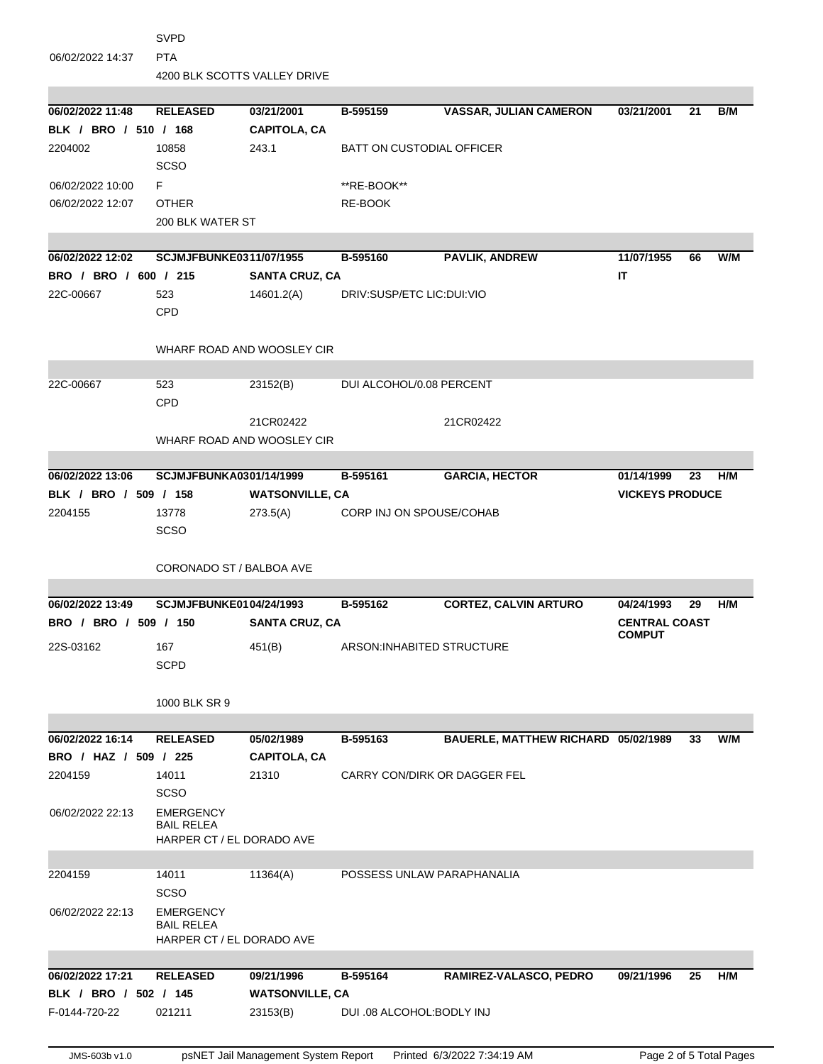| <b>PTA</b><br>06/02/2022 14:37<br>4200 BLK SCOTTS VALLEY DRIVE<br>06/02/2022 11:48<br>03/21/2001<br><b>VASSAR, JULIAN CAMERON</b><br>B/M<br><b>RELEASED</b><br>B-595159<br>03/21/2001<br>21<br>BLK / BRO / 510 / 168<br><b>CAPITOLA, CA</b><br>2204002<br>10858<br>243.1<br><b>BATT ON CUSTODIAL OFFICER</b><br><b>SCSO</b><br>F.<br>06/02/2022 10:00<br>**RE-BOOK**<br>06/02/2022 12:07<br><b>OTHER</b><br>RE-BOOK<br>200 BLK WATER ST<br>PAVLIK, ANDREW<br>W/M<br>06/02/2022 12:02<br><b>SCJMJFBUNKE0311/07/1955</b><br>11/07/1955<br>B-595160<br>66<br>IT<br>BRO / BRO / 600 / 215<br><b>SANTA CRUZ, CA</b><br>523<br>14601.2(A)<br>DRIV:SUSP/ETC LIC:DUI:VIO<br>22C-00667<br>CPD<br>WHARF ROAD AND WOOSLEY CIR<br>22C-00667<br>523<br>23152(B)<br>DUI ALCOHOL/0.08 PERCENT<br>CPD<br>21CR02422<br>21CR02422<br>WHARF ROAD AND WOOSLEY CIR<br>06/02/2022 13:06<br>SCJMJFBUNKA0301/14/1999<br>B-595161<br><b>GARCIA, HECTOR</b><br>H/M<br>01/14/1999<br>23<br>BLK / BRO / 509 / 158<br><b>WATSONVILLE, CA</b><br><b>VICKEYS PRODUCE</b><br>2204155<br>273.5(A)<br>CORP INJ ON SPOUSE/COHAB<br>13778<br><b>SCSO</b><br>CORONADO ST / BALBOA AVE<br><b>CORTEZ, CALVIN ARTURO</b><br>H/M<br>06/02/2022 13:49<br><b>SCJMJFBUNKE0104/24/1993</b><br>B-595162<br>04/24/1993<br>29<br>BRO / BRO / 509 / 150<br><b>CENTRAL COAST</b><br><b>SANTA CRUZ, CA</b><br><b>COMPUT</b><br>167<br>451(B)<br>ARSON: INHABITED STRUCTURE<br>22S-03162<br><b>SCPD</b><br>1000 BLK SR 9<br>BAUERLE, MATTHEW RICHARD 05/02/1989<br>06/02/2022 16:14<br><b>RELEASED</b><br>05/02/1989<br>B-595163<br>W/M<br>33<br>BRO / HAZ / 509 / 225<br><b>CAPITOLA, CA</b><br>14011<br>21310<br>CARRY CON/DIRK OR DAGGER FEL<br>2204159<br><b>SCSO</b><br><b>EMERGENCY</b><br>06/02/2022 22:13<br><b>BAIL RELEA</b><br>HARPER CT / EL DORADO AVE<br>2204159<br>14011<br>11364(A)<br>POSSESS UNLAW PARAPHANALIA<br><b>SCSO</b><br>06/02/2022 22:13<br><b>EMERGENCY</b><br><b>BAIL RELEA</b><br>HARPER CT / EL DORADO AVE<br><b>RELEASED</b><br>H/M<br>06/02/2022 17:21<br>09/21/1996<br>B-595164<br>RAMIREZ-VALASCO, PEDRO<br>09/21/1996<br>25<br>BLK / BRO / 502 / 145<br><b>WATSONVILLE, CA</b><br>F-0144-720-22<br>021211<br>23153(B)<br>DUI .08 ALCOHOL: BODLY INJ | <b>SVPD</b> |  |  |  |  |  |  |  |  |
|--------------------------------------------------------------------------------------------------------------------------------------------------------------------------------------------------------------------------------------------------------------------------------------------------------------------------------------------------------------------------------------------------------------------------------------------------------------------------------------------------------------------------------------------------------------------------------------------------------------------------------------------------------------------------------------------------------------------------------------------------------------------------------------------------------------------------------------------------------------------------------------------------------------------------------------------------------------------------------------------------------------------------------------------------------------------------------------------------------------------------------------------------------------------------------------------------------------------------------------------------------------------------------------------------------------------------------------------------------------------------------------------------------------------------------------------------------------------------------------------------------------------------------------------------------------------------------------------------------------------------------------------------------------------------------------------------------------------------------------------------------------------------------------------------------------------------------------------------------------------------------------------------------------------------------------------------------------------------------------------------------------------------------------------------------------------------------------------------------------------------------------------------------------------------------------------------------------------------------------|-------------|--|--|--|--|--|--|--|--|
|                                                                                                                                                                                                                                                                                                                                                                                                                                                                                                                                                                                                                                                                                                                                                                                                                                                                                                                                                                                                                                                                                                                                                                                                                                                                                                                                                                                                                                                                                                                                                                                                                                                                                                                                                                                                                                                                                                                                                                                                                                                                                                                                                                                                                                      |             |  |  |  |  |  |  |  |  |
|                                                                                                                                                                                                                                                                                                                                                                                                                                                                                                                                                                                                                                                                                                                                                                                                                                                                                                                                                                                                                                                                                                                                                                                                                                                                                                                                                                                                                                                                                                                                                                                                                                                                                                                                                                                                                                                                                                                                                                                                                                                                                                                                                                                                                                      |             |  |  |  |  |  |  |  |  |
|                                                                                                                                                                                                                                                                                                                                                                                                                                                                                                                                                                                                                                                                                                                                                                                                                                                                                                                                                                                                                                                                                                                                                                                                                                                                                                                                                                                                                                                                                                                                                                                                                                                                                                                                                                                                                                                                                                                                                                                                                                                                                                                                                                                                                                      |             |  |  |  |  |  |  |  |  |
|                                                                                                                                                                                                                                                                                                                                                                                                                                                                                                                                                                                                                                                                                                                                                                                                                                                                                                                                                                                                                                                                                                                                                                                                                                                                                                                                                                                                                                                                                                                                                                                                                                                                                                                                                                                                                                                                                                                                                                                                                                                                                                                                                                                                                                      |             |  |  |  |  |  |  |  |  |
|                                                                                                                                                                                                                                                                                                                                                                                                                                                                                                                                                                                                                                                                                                                                                                                                                                                                                                                                                                                                                                                                                                                                                                                                                                                                                                                                                                                                                                                                                                                                                                                                                                                                                                                                                                                                                                                                                                                                                                                                                                                                                                                                                                                                                                      |             |  |  |  |  |  |  |  |  |
|                                                                                                                                                                                                                                                                                                                                                                                                                                                                                                                                                                                                                                                                                                                                                                                                                                                                                                                                                                                                                                                                                                                                                                                                                                                                                                                                                                                                                                                                                                                                                                                                                                                                                                                                                                                                                                                                                                                                                                                                                                                                                                                                                                                                                                      |             |  |  |  |  |  |  |  |  |
|                                                                                                                                                                                                                                                                                                                                                                                                                                                                                                                                                                                                                                                                                                                                                                                                                                                                                                                                                                                                                                                                                                                                                                                                                                                                                                                                                                                                                                                                                                                                                                                                                                                                                                                                                                                                                                                                                                                                                                                                                                                                                                                                                                                                                                      |             |  |  |  |  |  |  |  |  |
|                                                                                                                                                                                                                                                                                                                                                                                                                                                                                                                                                                                                                                                                                                                                                                                                                                                                                                                                                                                                                                                                                                                                                                                                                                                                                                                                                                                                                                                                                                                                                                                                                                                                                                                                                                                                                                                                                                                                                                                                                                                                                                                                                                                                                                      |             |  |  |  |  |  |  |  |  |
|                                                                                                                                                                                                                                                                                                                                                                                                                                                                                                                                                                                                                                                                                                                                                                                                                                                                                                                                                                                                                                                                                                                                                                                                                                                                                                                                                                                                                                                                                                                                                                                                                                                                                                                                                                                                                                                                                                                                                                                                                                                                                                                                                                                                                                      |             |  |  |  |  |  |  |  |  |
|                                                                                                                                                                                                                                                                                                                                                                                                                                                                                                                                                                                                                                                                                                                                                                                                                                                                                                                                                                                                                                                                                                                                                                                                                                                                                                                                                                                                                                                                                                                                                                                                                                                                                                                                                                                                                                                                                                                                                                                                                                                                                                                                                                                                                                      |             |  |  |  |  |  |  |  |  |
|                                                                                                                                                                                                                                                                                                                                                                                                                                                                                                                                                                                                                                                                                                                                                                                                                                                                                                                                                                                                                                                                                                                                                                                                                                                                                                                                                                                                                                                                                                                                                                                                                                                                                                                                                                                                                                                                                                                                                                                                                                                                                                                                                                                                                                      |             |  |  |  |  |  |  |  |  |
|                                                                                                                                                                                                                                                                                                                                                                                                                                                                                                                                                                                                                                                                                                                                                                                                                                                                                                                                                                                                                                                                                                                                                                                                                                                                                                                                                                                                                                                                                                                                                                                                                                                                                                                                                                                                                                                                                                                                                                                                                                                                                                                                                                                                                                      |             |  |  |  |  |  |  |  |  |
|                                                                                                                                                                                                                                                                                                                                                                                                                                                                                                                                                                                                                                                                                                                                                                                                                                                                                                                                                                                                                                                                                                                                                                                                                                                                                                                                                                                                                                                                                                                                                                                                                                                                                                                                                                                                                                                                                                                                                                                                                                                                                                                                                                                                                                      |             |  |  |  |  |  |  |  |  |
|                                                                                                                                                                                                                                                                                                                                                                                                                                                                                                                                                                                                                                                                                                                                                                                                                                                                                                                                                                                                                                                                                                                                                                                                                                                                                                                                                                                                                                                                                                                                                                                                                                                                                                                                                                                                                                                                                                                                                                                                                                                                                                                                                                                                                                      |             |  |  |  |  |  |  |  |  |
|                                                                                                                                                                                                                                                                                                                                                                                                                                                                                                                                                                                                                                                                                                                                                                                                                                                                                                                                                                                                                                                                                                                                                                                                                                                                                                                                                                                                                                                                                                                                                                                                                                                                                                                                                                                                                                                                                                                                                                                                                                                                                                                                                                                                                                      |             |  |  |  |  |  |  |  |  |
|                                                                                                                                                                                                                                                                                                                                                                                                                                                                                                                                                                                                                                                                                                                                                                                                                                                                                                                                                                                                                                                                                                                                                                                                                                                                                                                                                                                                                                                                                                                                                                                                                                                                                                                                                                                                                                                                                                                                                                                                                                                                                                                                                                                                                                      |             |  |  |  |  |  |  |  |  |
|                                                                                                                                                                                                                                                                                                                                                                                                                                                                                                                                                                                                                                                                                                                                                                                                                                                                                                                                                                                                                                                                                                                                                                                                                                                                                                                                                                                                                                                                                                                                                                                                                                                                                                                                                                                                                                                                                                                                                                                                                                                                                                                                                                                                                                      |             |  |  |  |  |  |  |  |  |
|                                                                                                                                                                                                                                                                                                                                                                                                                                                                                                                                                                                                                                                                                                                                                                                                                                                                                                                                                                                                                                                                                                                                                                                                                                                                                                                                                                                                                                                                                                                                                                                                                                                                                                                                                                                                                                                                                                                                                                                                                                                                                                                                                                                                                                      |             |  |  |  |  |  |  |  |  |
|                                                                                                                                                                                                                                                                                                                                                                                                                                                                                                                                                                                                                                                                                                                                                                                                                                                                                                                                                                                                                                                                                                                                                                                                                                                                                                                                                                                                                                                                                                                                                                                                                                                                                                                                                                                                                                                                                                                                                                                                                                                                                                                                                                                                                                      |             |  |  |  |  |  |  |  |  |
|                                                                                                                                                                                                                                                                                                                                                                                                                                                                                                                                                                                                                                                                                                                                                                                                                                                                                                                                                                                                                                                                                                                                                                                                                                                                                                                                                                                                                                                                                                                                                                                                                                                                                                                                                                                                                                                                                                                                                                                                                                                                                                                                                                                                                                      |             |  |  |  |  |  |  |  |  |
|                                                                                                                                                                                                                                                                                                                                                                                                                                                                                                                                                                                                                                                                                                                                                                                                                                                                                                                                                                                                                                                                                                                                                                                                                                                                                                                                                                                                                                                                                                                                                                                                                                                                                                                                                                                                                                                                                                                                                                                                                                                                                                                                                                                                                                      |             |  |  |  |  |  |  |  |  |
|                                                                                                                                                                                                                                                                                                                                                                                                                                                                                                                                                                                                                                                                                                                                                                                                                                                                                                                                                                                                                                                                                                                                                                                                                                                                                                                                                                                                                                                                                                                                                                                                                                                                                                                                                                                                                                                                                                                                                                                                                                                                                                                                                                                                                                      |             |  |  |  |  |  |  |  |  |
|                                                                                                                                                                                                                                                                                                                                                                                                                                                                                                                                                                                                                                                                                                                                                                                                                                                                                                                                                                                                                                                                                                                                                                                                                                                                                                                                                                                                                                                                                                                                                                                                                                                                                                                                                                                                                                                                                                                                                                                                                                                                                                                                                                                                                                      |             |  |  |  |  |  |  |  |  |
|                                                                                                                                                                                                                                                                                                                                                                                                                                                                                                                                                                                                                                                                                                                                                                                                                                                                                                                                                                                                                                                                                                                                                                                                                                                                                                                                                                                                                                                                                                                                                                                                                                                                                                                                                                                                                                                                                                                                                                                                                                                                                                                                                                                                                                      |             |  |  |  |  |  |  |  |  |
|                                                                                                                                                                                                                                                                                                                                                                                                                                                                                                                                                                                                                                                                                                                                                                                                                                                                                                                                                                                                                                                                                                                                                                                                                                                                                                                                                                                                                                                                                                                                                                                                                                                                                                                                                                                                                                                                                                                                                                                                                                                                                                                                                                                                                                      |             |  |  |  |  |  |  |  |  |
|                                                                                                                                                                                                                                                                                                                                                                                                                                                                                                                                                                                                                                                                                                                                                                                                                                                                                                                                                                                                                                                                                                                                                                                                                                                                                                                                                                                                                                                                                                                                                                                                                                                                                                                                                                                                                                                                                                                                                                                                                                                                                                                                                                                                                                      |             |  |  |  |  |  |  |  |  |
|                                                                                                                                                                                                                                                                                                                                                                                                                                                                                                                                                                                                                                                                                                                                                                                                                                                                                                                                                                                                                                                                                                                                                                                                                                                                                                                                                                                                                                                                                                                                                                                                                                                                                                                                                                                                                                                                                                                                                                                                                                                                                                                                                                                                                                      |             |  |  |  |  |  |  |  |  |
|                                                                                                                                                                                                                                                                                                                                                                                                                                                                                                                                                                                                                                                                                                                                                                                                                                                                                                                                                                                                                                                                                                                                                                                                                                                                                                                                                                                                                                                                                                                                                                                                                                                                                                                                                                                                                                                                                                                                                                                                                                                                                                                                                                                                                                      |             |  |  |  |  |  |  |  |  |
|                                                                                                                                                                                                                                                                                                                                                                                                                                                                                                                                                                                                                                                                                                                                                                                                                                                                                                                                                                                                                                                                                                                                                                                                                                                                                                                                                                                                                                                                                                                                                                                                                                                                                                                                                                                                                                                                                                                                                                                                                                                                                                                                                                                                                                      |             |  |  |  |  |  |  |  |  |
|                                                                                                                                                                                                                                                                                                                                                                                                                                                                                                                                                                                                                                                                                                                                                                                                                                                                                                                                                                                                                                                                                                                                                                                                                                                                                                                                                                                                                                                                                                                                                                                                                                                                                                                                                                                                                                                                                                                                                                                                                                                                                                                                                                                                                                      |             |  |  |  |  |  |  |  |  |
|                                                                                                                                                                                                                                                                                                                                                                                                                                                                                                                                                                                                                                                                                                                                                                                                                                                                                                                                                                                                                                                                                                                                                                                                                                                                                                                                                                                                                                                                                                                                                                                                                                                                                                                                                                                                                                                                                                                                                                                                                                                                                                                                                                                                                                      |             |  |  |  |  |  |  |  |  |
|                                                                                                                                                                                                                                                                                                                                                                                                                                                                                                                                                                                                                                                                                                                                                                                                                                                                                                                                                                                                                                                                                                                                                                                                                                                                                                                                                                                                                                                                                                                                                                                                                                                                                                                                                                                                                                                                                                                                                                                                                                                                                                                                                                                                                                      |             |  |  |  |  |  |  |  |  |
|                                                                                                                                                                                                                                                                                                                                                                                                                                                                                                                                                                                                                                                                                                                                                                                                                                                                                                                                                                                                                                                                                                                                                                                                                                                                                                                                                                                                                                                                                                                                                                                                                                                                                                                                                                                                                                                                                                                                                                                                                                                                                                                                                                                                                                      |             |  |  |  |  |  |  |  |  |
|                                                                                                                                                                                                                                                                                                                                                                                                                                                                                                                                                                                                                                                                                                                                                                                                                                                                                                                                                                                                                                                                                                                                                                                                                                                                                                                                                                                                                                                                                                                                                                                                                                                                                                                                                                                                                                                                                                                                                                                                                                                                                                                                                                                                                                      |             |  |  |  |  |  |  |  |  |
|                                                                                                                                                                                                                                                                                                                                                                                                                                                                                                                                                                                                                                                                                                                                                                                                                                                                                                                                                                                                                                                                                                                                                                                                                                                                                                                                                                                                                                                                                                                                                                                                                                                                                                                                                                                                                                                                                                                                                                                                                                                                                                                                                                                                                                      |             |  |  |  |  |  |  |  |  |
|                                                                                                                                                                                                                                                                                                                                                                                                                                                                                                                                                                                                                                                                                                                                                                                                                                                                                                                                                                                                                                                                                                                                                                                                                                                                                                                                                                                                                                                                                                                                                                                                                                                                                                                                                                                                                                                                                                                                                                                                                                                                                                                                                                                                                                      |             |  |  |  |  |  |  |  |  |
|                                                                                                                                                                                                                                                                                                                                                                                                                                                                                                                                                                                                                                                                                                                                                                                                                                                                                                                                                                                                                                                                                                                                                                                                                                                                                                                                                                                                                                                                                                                                                                                                                                                                                                                                                                                                                                                                                                                                                                                                                                                                                                                                                                                                                                      |             |  |  |  |  |  |  |  |  |
|                                                                                                                                                                                                                                                                                                                                                                                                                                                                                                                                                                                                                                                                                                                                                                                                                                                                                                                                                                                                                                                                                                                                                                                                                                                                                                                                                                                                                                                                                                                                                                                                                                                                                                                                                                                                                                                                                                                                                                                                                                                                                                                                                                                                                                      |             |  |  |  |  |  |  |  |  |
|                                                                                                                                                                                                                                                                                                                                                                                                                                                                                                                                                                                                                                                                                                                                                                                                                                                                                                                                                                                                                                                                                                                                                                                                                                                                                                                                                                                                                                                                                                                                                                                                                                                                                                                                                                                                                                                                                                                                                                                                                                                                                                                                                                                                                                      |             |  |  |  |  |  |  |  |  |
|                                                                                                                                                                                                                                                                                                                                                                                                                                                                                                                                                                                                                                                                                                                                                                                                                                                                                                                                                                                                                                                                                                                                                                                                                                                                                                                                                                                                                                                                                                                                                                                                                                                                                                                                                                                                                                                                                                                                                                                                                                                                                                                                                                                                                                      |             |  |  |  |  |  |  |  |  |
|                                                                                                                                                                                                                                                                                                                                                                                                                                                                                                                                                                                                                                                                                                                                                                                                                                                                                                                                                                                                                                                                                                                                                                                                                                                                                                                                                                                                                                                                                                                                                                                                                                                                                                                                                                                                                                                                                                                                                                                                                                                                                                                                                                                                                                      |             |  |  |  |  |  |  |  |  |
|                                                                                                                                                                                                                                                                                                                                                                                                                                                                                                                                                                                                                                                                                                                                                                                                                                                                                                                                                                                                                                                                                                                                                                                                                                                                                                                                                                                                                                                                                                                                                                                                                                                                                                                                                                                                                                                                                                                                                                                                                                                                                                                                                                                                                                      |             |  |  |  |  |  |  |  |  |
|                                                                                                                                                                                                                                                                                                                                                                                                                                                                                                                                                                                                                                                                                                                                                                                                                                                                                                                                                                                                                                                                                                                                                                                                                                                                                                                                                                                                                                                                                                                                                                                                                                                                                                                                                                                                                                                                                                                                                                                                                                                                                                                                                                                                                                      |             |  |  |  |  |  |  |  |  |
|                                                                                                                                                                                                                                                                                                                                                                                                                                                                                                                                                                                                                                                                                                                                                                                                                                                                                                                                                                                                                                                                                                                                                                                                                                                                                                                                                                                                                                                                                                                                                                                                                                                                                                                                                                                                                                                                                                                                                                                                                                                                                                                                                                                                                                      |             |  |  |  |  |  |  |  |  |
|                                                                                                                                                                                                                                                                                                                                                                                                                                                                                                                                                                                                                                                                                                                                                                                                                                                                                                                                                                                                                                                                                                                                                                                                                                                                                                                                                                                                                                                                                                                                                                                                                                                                                                                                                                                                                                                                                                                                                                                                                                                                                                                                                                                                                                      |             |  |  |  |  |  |  |  |  |
|                                                                                                                                                                                                                                                                                                                                                                                                                                                                                                                                                                                                                                                                                                                                                                                                                                                                                                                                                                                                                                                                                                                                                                                                                                                                                                                                                                                                                                                                                                                                                                                                                                                                                                                                                                                                                                                                                                                                                                                                                                                                                                                                                                                                                                      |             |  |  |  |  |  |  |  |  |
|                                                                                                                                                                                                                                                                                                                                                                                                                                                                                                                                                                                                                                                                                                                                                                                                                                                                                                                                                                                                                                                                                                                                                                                                                                                                                                                                                                                                                                                                                                                                                                                                                                                                                                                                                                                                                                                                                                                                                                                                                                                                                                                                                                                                                                      |             |  |  |  |  |  |  |  |  |
|                                                                                                                                                                                                                                                                                                                                                                                                                                                                                                                                                                                                                                                                                                                                                                                                                                                                                                                                                                                                                                                                                                                                                                                                                                                                                                                                                                                                                                                                                                                                                                                                                                                                                                                                                                                                                                                                                                                                                                                                                                                                                                                                                                                                                                      |             |  |  |  |  |  |  |  |  |
|                                                                                                                                                                                                                                                                                                                                                                                                                                                                                                                                                                                                                                                                                                                                                                                                                                                                                                                                                                                                                                                                                                                                                                                                                                                                                                                                                                                                                                                                                                                                                                                                                                                                                                                                                                                                                                                                                                                                                                                                                                                                                                                                                                                                                                      |             |  |  |  |  |  |  |  |  |
|                                                                                                                                                                                                                                                                                                                                                                                                                                                                                                                                                                                                                                                                                                                                                                                                                                                                                                                                                                                                                                                                                                                                                                                                                                                                                                                                                                                                                                                                                                                                                                                                                                                                                                                                                                                                                                                                                                                                                                                                                                                                                                                                                                                                                                      |             |  |  |  |  |  |  |  |  |
|                                                                                                                                                                                                                                                                                                                                                                                                                                                                                                                                                                                                                                                                                                                                                                                                                                                                                                                                                                                                                                                                                                                                                                                                                                                                                                                                                                                                                                                                                                                                                                                                                                                                                                                                                                                                                                                                                                                                                                                                                                                                                                                                                                                                                                      |             |  |  |  |  |  |  |  |  |
|                                                                                                                                                                                                                                                                                                                                                                                                                                                                                                                                                                                                                                                                                                                                                                                                                                                                                                                                                                                                                                                                                                                                                                                                                                                                                                                                                                                                                                                                                                                                                                                                                                                                                                                                                                                                                                                                                                                                                                                                                                                                                                                                                                                                                                      |             |  |  |  |  |  |  |  |  |
|                                                                                                                                                                                                                                                                                                                                                                                                                                                                                                                                                                                                                                                                                                                                                                                                                                                                                                                                                                                                                                                                                                                                                                                                                                                                                                                                                                                                                                                                                                                                                                                                                                                                                                                                                                                                                                                                                                                                                                                                                                                                                                                                                                                                                                      |             |  |  |  |  |  |  |  |  |
|                                                                                                                                                                                                                                                                                                                                                                                                                                                                                                                                                                                                                                                                                                                                                                                                                                                                                                                                                                                                                                                                                                                                                                                                                                                                                                                                                                                                                                                                                                                                                                                                                                                                                                                                                                                                                                                                                                                                                                                                                                                                                                                                                                                                                                      |             |  |  |  |  |  |  |  |  |
|                                                                                                                                                                                                                                                                                                                                                                                                                                                                                                                                                                                                                                                                                                                                                                                                                                                                                                                                                                                                                                                                                                                                                                                                                                                                                                                                                                                                                                                                                                                                                                                                                                                                                                                                                                                                                                                                                                                                                                                                                                                                                                                                                                                                                                      |             |  |  |  |  |  |  |  |  |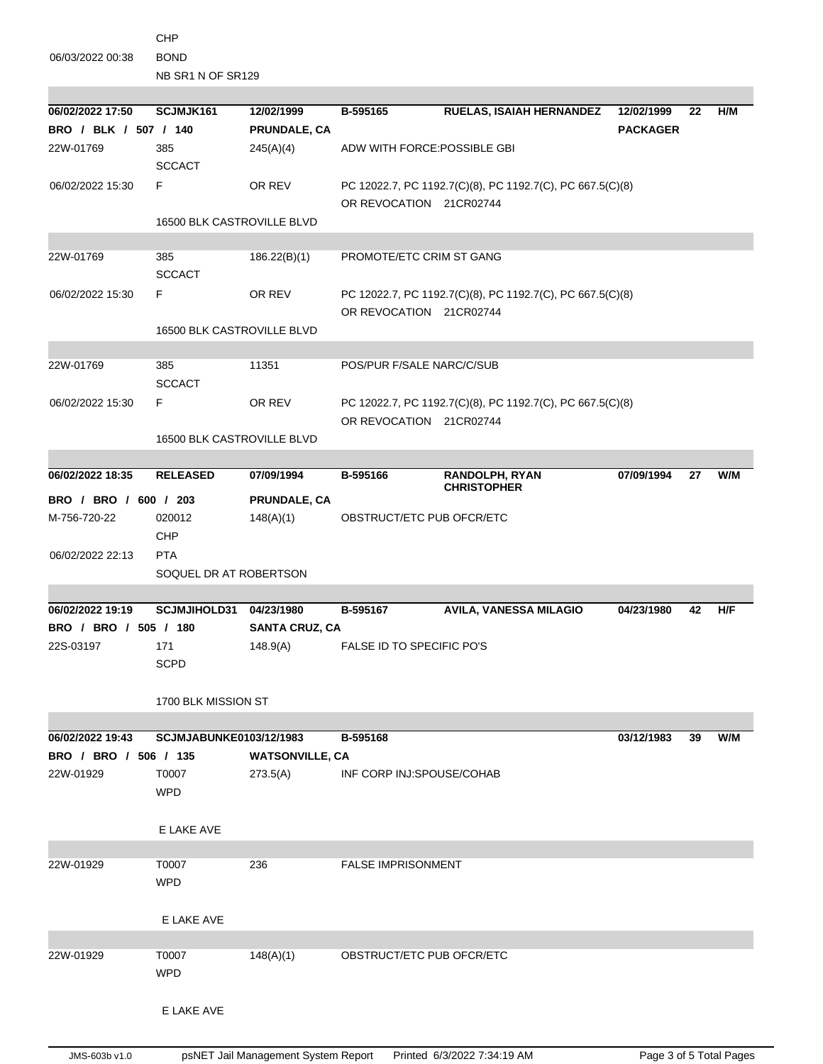CHP 06/03/2022 00:38 BOND

NB SR1 N OF SR129

| 06/02/2022 17:50      | SCJMJK161                  | 12/02/1999             | B-595165                         | <b>RUELAS, ISAIAH HERNANDEZ</b>                           | 12/02/1999      | 22 | H/M |  |
|-----------------------|----------------------------|------------------------|----------------------------------|-----------------------------------------------------------|-----------------|----|-----|--|
| BRO / BLK / 507 / 140 |                            | PRUNDALE, CA           |                                  |                                                           | <b>PACKAGER</b> |    |     |  |
| 22W-01769             | 385                        | 245(A)(4)              | ADW WITH FORCE: POSSIBLE GBI     |                                                           |                 |    |     |  |
|                       | <b>SCCACT</b>              |                        |                                  |                                                           |                 |    |     |  |
| 06/02/2022 15:30      | F.                         | OR REV                 |                                  | PC 12022.7, PC 1192.7(C)(8), PC 1192.7(C), PC 667.5(C)(8) |                 |    |     |  |
|                       |                            |                        | OR REVOCATION 21CR02744          |                                                           |                 |    |     |  |
|                       | 16500 BLK CASTROVILLE BLVD |                        |                                  |                                                           |                 |    |     |  |
|                       |                            |                        |                                  |                                                           |                 |    |     |  |
| 22W-01769             | 385                        | 186.22(B)(1)           | PROMOTE/ETC CRIM ST GANG         |                                                           |                 |    |     |  |
|                       | <b>SCCACT</b>              |                        |                                  |                                                           |                 |    |     |  |
| 06/02/2022 15:30      | F                          | OR REV                 |                                  | PC 12022.7, PC 1192.7(C)(8), PC 1192.7(C), PC 667.5(C)(8) |                 |    |     |  |
|                       |                            |                        | OR REVOCATION 21CR02744          |                                                           |                 |    |     |  |
|                       | 16500 BLK CASTROVILLE BLVD |                        |                                  |                                                           |                 |    |     |  |
|                       |                            |                        |                                  |                                                           |                 |    |     |  |
| 22W-01769             | 385                        | 11351                  | POS/PUR F/SALE NARC/C/SUB        |                                                           |                 |    |     |  |
|                       | <b>SCCACT</b>              |                        |                                  |                                                           |                 |    |     |  |
| 06/02/2022 15:30      | F                          | OR REV                 |                                  | PC 12022.7, PC 1192.7(C)(8), PC 1192.7(C), PC 667.5(C)(8) |                 |    |     |  |
|                       |                            |                        | OR REVOCATION 21CR02744          |                                                           |                 |    |     |  |
|                       | 16500 BLK CASTROVILLE BLVD |                        |                                  |                                                           |                 |    |     |  |
|                       |                            |                        |                                  |                                                           |                 |    |     |  |
| 06/02/2022 18:35      | <b>RELEASED</b>            | 07/09/1994             | B-595166                         | RANDOLPH, RYAN<br><b>CHRISTOPHER</b>                      | 07/09/1994      | 27 | W/M |  |
| BRO / BRO / 600 / 203 |                            | PRUNDALE, CA           |                                  |                                                           |                 |    |     |  |
| M-756-720-22          | 020012                     | 148(A)(1)              | OBSTRUCT/ETC PUB OFCR/ETC        |                                                           |                 |    |     |  |
|                       | CHP                        |                        |                                  |                                                           |                 |    |     |  |
| 06/02/2022 22:13      | <b>PTA</b>                 |                        |                                  |                                                           |                 |    |     |  |
|                       | SOQUEL DR AT ROBERTSON     |                        |                                  |                                                           |                 |    |     |  |
|                       |                            |                        |                                  |                                                           |                 |    |     |  |
| 06/02/2022 19:19      | <b>SCJMJIHOLD31</b>        | 04/23/1980             | B-595167                         | <b>AVILA, VANESSA MILAGIO</b>                             | 04/23/1980      | 42 | H/F |  |
| BRO / BRO / 505 / 180 |                            | <b>SANTA CRUZ, CA</b>  |                                  |                                                           |                 |    |     |  |
| 22S-03197             | 171                        | 148.9(A)               | <b>FALSE ID TO SPECIFIC PO'S</b> |                                                           |                 |    |     |  |
|                       | <b>SCPD</b>                |                        |                                  |                                                           |                 |    |     |  |
|                       |                            |                        |                                  |                                                           |                 |    |     |  |
|                       | 1700 BLK MISSION ST        |                        |                                  |                                                           |                 |    |     |  |
|                       |                            |                        |                                  |                                                           |                 |    |     |  |
| 06/02/2022 19:43      | SCJMJABUNKE0103/12/1983    |                        | B-595168                         |                                                           | 03/12/1983      | 39 | W/M |  |
| BRO / BRO / 506 / 135 |                            | <b>WATSONVILLE, CA</b> |                                  |                                                           |                 |    |     |  |
| 22W-01929             | T0007                      | 273.5(A)               | INF CORP INJ:SPOUSE/COHAB        |                                                           |                 |    |     |  |
|                       | <b>WPD</b>                 |                        |                                  |                                                           |                 |    |     |  |
|                       |                            |                        |                                  |                                                           |                 |    |     |  |
|                       | E LAKE AVE                 |                        |                                  |                                                           |                 |    |     |  |
|                       |                            |                        |                                  |                                                           |                 |    |     |  |
| 22W-01929             | T0007                      | 236                    | <b>FALSE IMPRISONMENT</b>        |                                                           |                 |    |     |  |
|                       | <b>WPD</b>                 |                        |                                  |                                                           |                 |    |     |  |
|                       |                            |                        |                                  |                                                           |                 |    |     |  |
|                       | E LAKE AVE                 |                        |                                  |                                                           |                 |    |     |  |
|                       |                            |                        |                                  |                                                           |                 |    |     |  |
| 22W-01929             | T0007                      | 148(A)(1)              | OBSTRUCT/ETC PUB OFCR/ETC        |                                                           |                 |    |     |  |
|                       | <b>WPD</b>                 |                        |                                  |                                                           |                 |    |     |  |
|                       |                            |                        |                                  |                                                           |                 |    |     |  |
|                       | E LAKE AVE                 |                        |                                  |                                                           |                 |    |     |  |
|                       |                            |                        |                                  |                                                           |                 |    |     |  |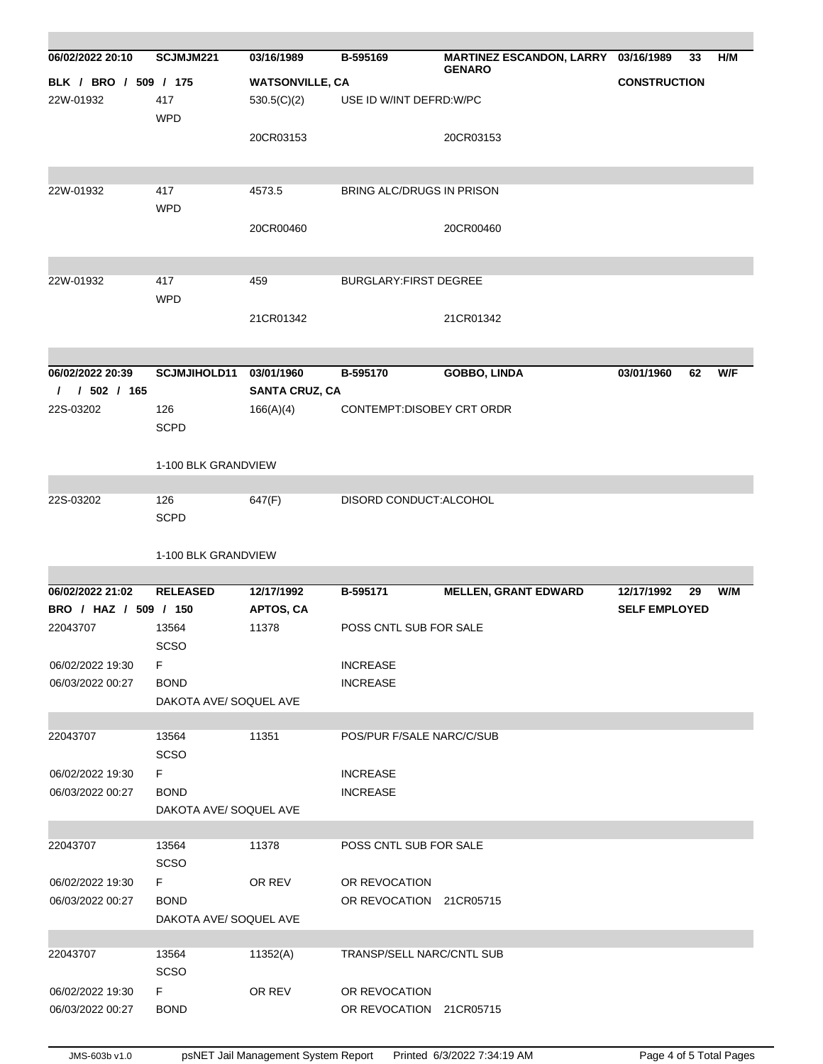| 06/02/2022 20:10                     | SCJMJM221                                  | 03/16/1989                              | B-595169                                           | MARTINEZ ESCANDON, LARRY 03/16/1989 | 33                   | H/M |  |  |  |
|--------------------------------------|--------------------------------------------|-----------------------------------------|----------------------------------------------------|-------------------------------------|----------------------|-----|--|--|--|
| BLK / BRO / 509 / 175                |                                            | <b>GENARO</b><br><b>WATSONVILLE, CA</b> |                                                    | <b>CONSTRUCTION</b>                 |                      |     |  |  |  |
| 22W-01932                            | 417<br><b>WPD</b>                          | 530.5(C)(2)                             |                                                    |                                     |                      |     |  |  |  |
|                                      |                                            | 20CR03153                               |                                                    | 20CR03153                           |                      |     |  |  |  |
| 22W-01932                            | 417<br><b>WPD</b>                          | 4573.5                                  | BRING ALC/DRUGS IN PRISON                          |                                     |                      |     |  |  |  |
|                                      |                                            | 20CR00460                               |                                                    | 20CR00460                           |                      |     |  |  |  |
| 22W-01932                            | 417<br><b>WPD</b>                          | 459                                     | <b>BURGLARY: FIRST DEGREE</b>                      |                                     |                      |     |  |  |  |
|                                      |                                            | 21CR01342                               |                                                    | 21CR01342                           |                      |     |  |  |  |
| 06/02/2022 20:39                     | <b>SCJMJIHOLD11</b>                        | 03/01/1960                              | B-595170                                           | <b>GOBBO, LINDA</b>                 | 03/01/1960<br>62     | W/F |  |  |  |
| 1 / 502 / 165<br>22S-03202           | 126<br><b>SCPD</b>                         | 166(A)(4)                               | <b>SANTA CRUZ, CA</b><br>CONTEMPT:DISOBEY CRT ORDR |                                     |                      |     |  |  |  |
|                                      |                                            | 1-100 BLK GRANDVIEW                     |                                                    |                                     |                      |     |  |  |  |
| 22S-03202                            | 126<br><b>SCPD</b>                         | 647(F)                                  | DISORD CONDUCT:ALCOHOL                             |                                     |                      |     |  |  |  |
|                                      | 1-100 BLK GRANDVIEW                        |                                         |                                                    |                                     |                      |     |  |  |  |
| 06/02/2022 21:02                     | <b>RELEASED</b>                            | 12/17/1992                              | B-595171                                           | <b>MELLEN, GRANT EDWARD</b>         | 12/17/1992<br>29     | W/M |  |  |  |
| BRO / HAZ / 509 / 150<br>22043707    | 13564<br>SCSO                              | <b>APTOS, CA</b><br>11378               | POSS CNTL SUB FOR SALE                             |                                     | <b>SELF EMPLOYED</b> |     |  |  |  |
| 06/02/2022 19:30<br>06/03/2022 00:27 | F<br><b>BOND</b>                           |                                         | <b>INCREASE</b><br><b>INCREASE</b>                 |                                     |                      |     |  |  |  |
|                                      | DAKOTA AVE/ SOQUEL AVE                     |                                         |                                                    |                                     |                      |     |  |  |  |
| 22043707                             | 13564<br><b>SCSO</b>                       | 11351                                   | POS/PUR F/SALE NARC/C/SUB                          |                                     |                      |     |  |  |  |
| 06/02/2022 19:30                     | F                                          |                                         | <b>INCREASE</b>                                    |                                     |                      |     |  |  |  |
| 06/03/2022 00:27                     | <b>BOND</b><br>DAKOTA AVE/ SOQUEL AVE      |                                         | <b>INCREASE</b>                                    |                                     |                      |     |  |  |  |
| 22043707                             | 13564<br>SCSO                              | 11378                                   | POSS CNTL SUB FOR SALE                             |                                     |                      |     |  |  |  |
| 06/02/2022 19:30<br>06/03/2022 00:27 | F<br><b>BOND</b><br>DAKOTA AVE/ SOQUEL AVE | OR REV                                  | OR REVOCATION<br>OR REVOCATION 21CR05715           |                                     |                      |     |  |  |  |
| 22043707                             | 13564<br><b>SCSO</b>                       | 11352(A)                                | TRANSP/SELL NARC/CNTL SUB                          |                                     |                      |     |  |  |  |
| 06/02/2022 19:30<br>06/03/2022 00:27 | F<br><b>BOND</b>                           | OR REV                                  | OR REVOCATION<br>OR REVOCATION 21CR05715           |                                     |                      |     |  |  |  |